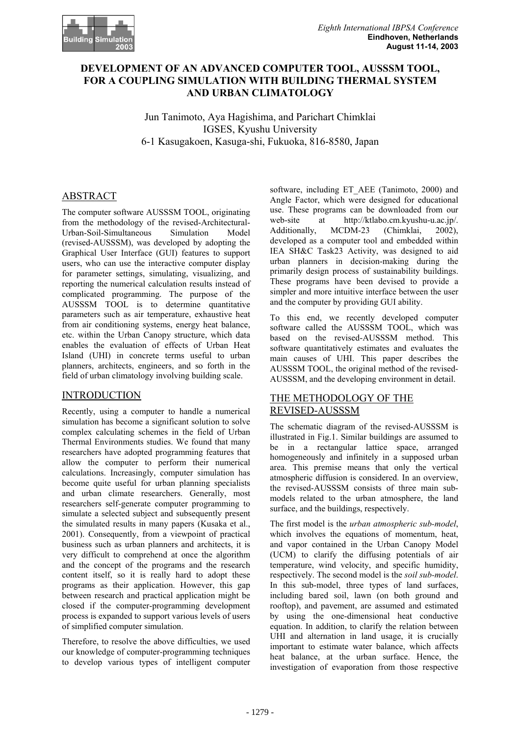

# **DEVELOPMENT OF AN ADVANCED COMPUTER TOOL, AUSSSM TOOL, FOR A COUPLING SIMULATION WITH BUILDING THERMAL SYSTEM AND URBAN CLIMATOLOGY**

Jun Tanimoto, Aya Hagishima, and Parichart Chimklai IGSES, Kyushu University 6-1 Kasugakoen, Kasuga-shi, Fukuoka, 816-8580, Japan

# ABSTRACT

The computer software AUSSSM TOOL, originating from the methodology of the revised-Architectural-Urban-Soil-Simultaneous Simulation Model (revised-AUSSSM), was developed by adopting the Graphical User Interface (GUI) features to support users, who can use the interactive computer display for parameter settings, simulating, visualizing, and reporting the numerical calculation results instead of complicated programming. The purpose of the AUSSSM TOOL is to determine quantitative parameters such as air temperature, exhaustive heat from air conditioning systems, energy heat balance, etc. within the Urban Canopy structure, which data enables the evaluation of effects of Urban Heat Island (UHI) in concrete terms useful to urban planners, architects, engineers, and so forth in the field of urban climatology involving building scale.

## INTRODUCTION

Recently, using a computer to handle a numerical simulation has become a significant solution to solve complex calculating schemes in the field of Urban Thermal Environments studies. We found that many researchers have adopted programming features that allow the computer to perform their numerical calculations. Increasingly, computer simulation has become quite useful for urban planning specialists and urban climate researchers. Generally, most researchers self-generate computer programming to simulate a selected subject and subsequently present the simulated results in many papers (Kusaka et al., 2001). Consequently, from a viewpoint of practical business such as urban planners and architects, it is very difficult to comprehend at once the algorithm and the concept of the programs and the research content itself, so it is really hard to adopt these programs as their application. However, this gap between research and practical application might be closed if the computer-programming development process is expanded to support various levels of users of simplified computer simulation.

Therefore, to resolve the above difficulties, we used our knowledge of computer-programming techniques to develop various types of intelligent computer

software, including ET AEE (Tanimoto, 2000) and Angle Factor, which were designed for educational use. These programs can be downloaded from our web-site at http://ktlabo.cm.kyushu-u.ac.jp/. Additionally, MCDM-23 (Chimklai, 2002), developed as a computer tool and embedded within IEA SH&C Task23 Activity, was designed to aid urban planners in decision-making during the primarily design process of sustainability buildings. These programs have been devised to provide a simpler and more intuitive interface between the user and the computer by providing GUI ability.

To this end, we recently developed computer software called the AUSSSM TOOL, which was based on the revised-AUSSSM method. This software quantitatively estimates and evaluates the main causes of UHI. This paper describes the AUSSSM TOOL, the original method of the revised-AUSSSM, and the developing environment in detail.

### THE METHODOLOGY OF THE REVISED-AUSSSM

The schematic diagram of the revised-AUSSSM is illustrated in Fig.1. Similar buildings are assumed to be in a rectangular lattice space, arranged homogeneously and infinitely in a supposed urban area. This premise means that only the vertical atmospheric diffusion is considered. In an overview, the revised-AUSSSM consists of three main submodels related to the urban atmosphere, the land surface, and the buildings, respectively.

The first model is the *urban atmospheric sub-model*, which involves the equations of momentum, heat, and vapor contained in the Urban Canopy Model (UCM) to clarify the diffusing potentials of air temperature, wind velocity, and specific humidity, respectively. The second model is the *soil sub-model*. In this sub-model, three types of land surfaces, including bared soil, lawn (on both ground and rooftop), and pavement, are assumed and estimated by using the one-dimensional heat conductive equation. In addition, to clarify the relation between UHI and alternation in land usage, it is crucially important to estimate water balance, which affects heat balance, at the urban surface. Hence, the investigation of evaporation from those respective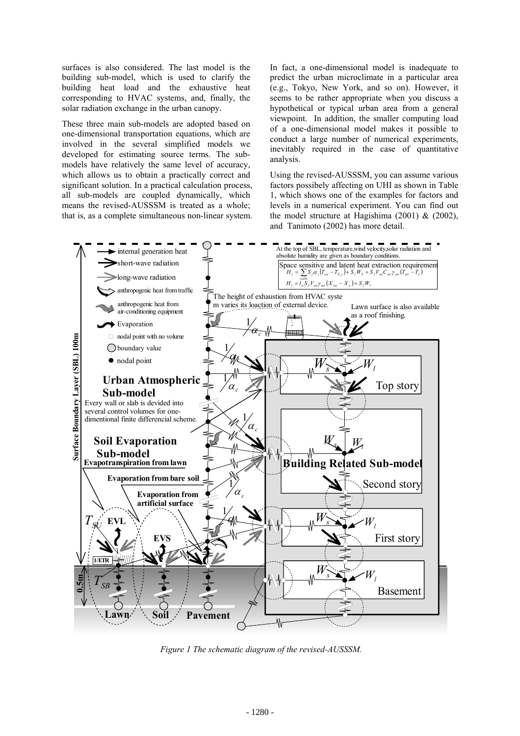surfaces is also considered. The last model is the building sub-model, which is used to clarify the building heat load and the exhaustive heat corresponding to HVAC systems, and, finally, the solar radiation exchange in the urban canopy.

These three main sub-models are adopted based on one-dimensional transportation equations, which are involved in the several simplified models we developed for estimating source terms. The submodels have relatively the same level of accuracy, which allows us to obtain a practically correct and significant solution. In a practical calculation process, all sub-models are coupled dynamically, which means the revised-AUSSSM is treated as a whole; that is, as a complete simultaneous non-linear system.

In fact, a one-dimensional model is inadequate to predict the urban microclimate in a particular area (e.g., Tokyo, New York, and so on). However, it seems to be rather appropriate when you discuss a hypothetical or typical urban area from a general viewpoint. In addition, the smaller computing load of a one-dimensional model makes it possible to conduct a large number of numerical experiments, inevitably required in the case of quantitative analysis.

Using the revised-AUSSSM, you can assume various factors possibely affecting on UHI as shown in Table 1, which shows one of the examples for factors and levels in a numerical experiment. You can find out the model structure at Hagishima  $(2001)$  &  $(2002)$ , and Tanimoto (2002) has more detail.



*Figure 1 The schematic diagram of the revised-AUSSSM.*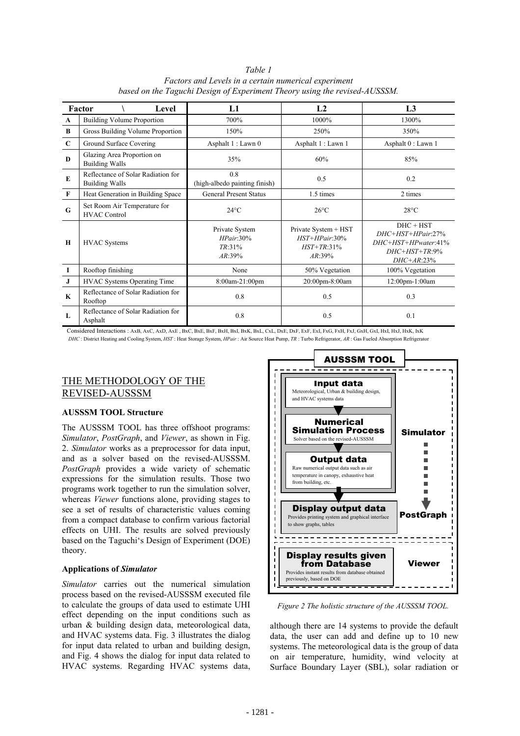*Table 1 Factors and Levels in a certain numerical experiment based on the Taguchi Design of Experiment Theory using the revised-AUSSSM.* 

| Factor       |                                                             |                                                       |                                                                       |                                                                                                     |  |  |  |
|--------------|-------------------------------------------------------------|-------------------------------------------------------|-----------------------------------------------------------------------|-----------------------------------------------------------------------------------------------------|--|--|--|
|              | Level                                                       | L1                                                    | L <sub>2</sub>                                                        | L <sub>3</sub>                                                                                      |  |  |  |
| A            | <b>Building Volume Proportion</b>                           | 700%                                                  | 1000%                                                                 | 1300%                                                                                               |  |  |  |
| B            | Gross Building Volume Proportion                            | 150%                                                  | 250%                                                                  | 350%                                                                                                |  |  |  |
| $\mathbf C$  | Ground Surface Covering                                     | Asphalt 1 : Lawn 0                                    | Asphalt 1 : Lawn 1                                                    | Asphalt 0 : Lawn 1                                                                                  |  |  |  |
| D            | Glazing Area Proportion on<br><b>Building Walls</b>         | 35%                                                   | 60%                                                                   | 85%                                                                                                 |  |  |  |
| E            | Reflectance of Solar Radiation for<br><b>Building Walls</b> | 0.8<br>(high-albedo painting finish)                  | 0.5                                                                   | 0.2                                                                                                 |  |  |  |
| $\mathbf{F}$ | Heat Generation in Building Space                           | <b>General Present Status</b>                         | 1.5 times                                                             | 2 times                                                                                             |  |  |  |
| G            | Set Room Air Temperature for<br><b>HVAC Control</b>         | $24^{\circ}$ C                                        | $26^{\circ}$ C                                                        | $28^{\circ}$ C                                                                                      |  |  |  |
| H            | <b>HVAC</b> Systems                                         | Private System<br>HPair 30%<br>$TR:31\%$<br>$AR:39\%$ | Private System + HST<br>$HST+HPair 30%$<br>$HST+TR:31\%$<br>$AR:39\%$ | $DHC + HST$<br>$DHC+HST+HPair: 27\%$<br>$DHC+HST+HPwater.41\%$<br>$DHC+HST+TR:9\%$<br>$DHC+A R:23%$ |  |  |  |
| I            | Rooftop finishing                                           | None                                                  | 50% Vegetation                                                        | 100% Vegetation                                                                                     |  |  |  |
| J.           | <b>HVAC Systems Operating Time</b>                          | 8:00am-21:00pm                                        | 20:00pm-8:00am                                                        | 12:00pm-1:00am                                                                                      |  |  |  |
| $\mathbf K$  | Reflectance of Solar Radiation for<br>Rooftop               | 0.8                                                   | 0.5                                                                   | 0.3                                                                                                 |  |  |  |
| L            | Reflectance of Solar Radiation for<br>Asphalt               | 0.8                                                   | 0.5                                                                   | 0.1                                                                                                 |  |  |  |

Considered Interactions : AxB, AxC, AxD, AxE , BxC, BxE, BxF, BxH, BxI, BxK, BxL, CxL, DxE, DxF, ExF, ExI, FxG, FxH, FxJ, GxH, GxI, HxI, HxJ, HxK, IxK *DHC* : District Heating and Cooling System, *HST* : Heat Storage System, *HPair* : Air Source Heat Pump, *TR* : Turbo Refrigerator, *AR* : Gas Fueled Absorption Refrigerator

# THE METHODOLOGY OF THE REVISED-AUSSSM

### **AUSSSM TOOL Structure**

The AUSSSM TOOL has three offshoot programs: *Simulator*, *PostGraph*, and *Viewer*, as shown in Fig. 2. *Simulator* works as a preprocessor for data input, and as a solver based on the revised-AUSSSM. *PostGraph* provides a wide variety of schematic expressions for the simulation results. Those two programs work together to run the simulation solver, whereas *Viewer* functions alone, providing stages to see a set of results of characteristic values coming from a compact database to confirm various factorial effects on UHI. The results are solved previously based on the Taguchi's Design of Experiment (DOE) theory.

### **Applications of** *Simulator*

*Simulator* carries out the numerical simulation process based on the revised-AUSSSM executed file to calculate the groups of data used to estimate UHI effect depending on the input conditions such as urban & building design data, meteorological data, and HVAC systems data. Fig. 3 illustrates the dialog for input data related to urban and building design, and Fig. 4 shows the dialog for input data related to HVAC systems. Regarding HVAC systems data,



*Figure 2 The holistic structure of the AUSSSM TOOL.*

although there are 14 systems to provide the default data, the user can add and define up to 10 new systems. The meteorological data is the group of data on air temperature, humidity, wind velocity at Surface Boundary Layer (SBL), solar radiation or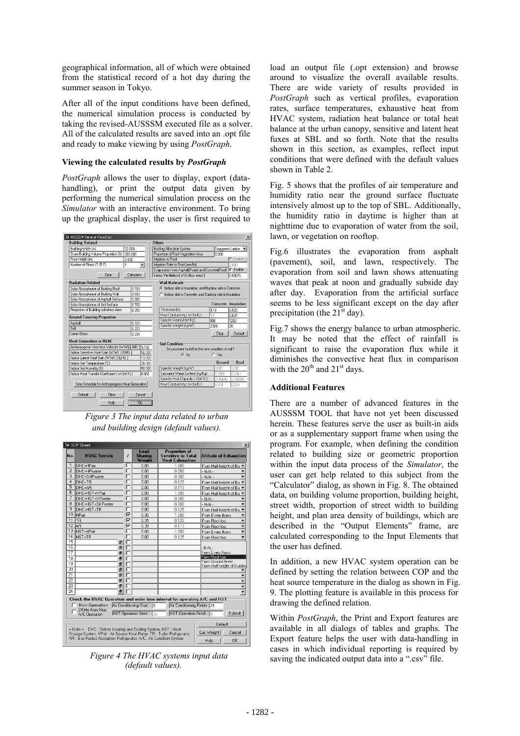geographical information, all of which were obtained from the statistical record of a hot day during the summer season in Tokyo.

After all of the input conditions have been defined, the numerical simulation process is conducted by taking the revised-AUSSSM executed file as a solver. All of the calculated results are saved into an .opt file and ready to make viewing by using *PostGraph*.

### **Viewing the calculated results by** *PostGraph*

*PostGraph* allows the user to display, export (datahandling), or print the output data given by performing the numerical simulation process on the *Simulator* with an interactive environment. To bring up the graphical display, the user is first required to



*Figure 3 The input data related to urban and building design (default values).* 

| No.                                                                                                                                                     | <b>HVAC System</b>                                                    | ,  | Load<br><b>Sharing</b><br>Weight | <b>Proportion of</b><br><b>Sensitive to Total</b><br><b>Heat Exhaustion</b> | <b>Altitude of Exhaustion</b>      |  |
|---------------------------------------------------------------------------------------------------------------------------------------------------------|-----------------------------------------------------------------------|----|----------------------------------|-----------------------------------------------------------------------------|------------------------------------|--|
| 1                                                                                                                                                       | DHC+HPair                                                             |    | 0.00                             | 1.000                                                                       | From Half height of Bu             |  |
| $\overline{2}$                                                                                                                                          | DHC+HPwater                                                           |    | 0.00                             | 0.000                                                                       | $-N/A$ .                           |  |
| 3                                                                                                                                                       | DHC+SHPwater                                                          | г  | 0.00                             | 0.000                                                                       | $-N/A$                             |  |
| 4                                                                                                                                                       | DHC+TR                                                                | г  | 0.00                             | 0.125                                                                       | From Half height of Bu             |  |
| 5                                                                                                                                                       | DHC+AR                                                                | г  | 0.00                             | 0.113                                                                       | From Half height of Bu             |  |
| $\overline{6}$                                                                                                                                          | DHC+HST+HPair                                                         | ┍  | 0.00                             | 1.000                                                                       | From Half height of Bu             |  |
| 7                                                                                                                                                       | DHC+HST+HPwater                                                       | ┍  | 0.00                             | 0.000                                                                       | $-N/A$ .                           |  |
| $\overline{8}$                                                                                                                                          | DHC+HST+SHPwater                                                      | г  | 0.00                             | 0.000                                                                       | $-N/A$ .                           |  |
| $\overline{9}$                                                                                                                                          | DHC+HST+TR                                                            | ┍  | 0.00                             | 0.125                                                                       | From Half height of Bu             |  |
| 10                                                                                                                                                      | <b>HPair</b>                                                          | ঢ় | 0.30                             | 1.000                                                                       | From Every floors                  |  |
| 11                                                                                                                                                      | <b>TR</b>                                                             | ⊽  | 0.31                             | 0.125                                                                       | From Roof top                      |  |
| 12                                                                                                                                                      | lar.                                                                  | ⊽  | 0.39                             | 0.113                                                                       | From Roof top                      |  |
| 13                                                                                                                                                      | HST+HPair                                                             |    | 0.00                             | 1.000                                                                       | From Every floors                  |  |
| 14                                                                                                                                                      | HST+TR                                                                |    | 0.00                             | 0.125                                                                       | From Roof top                      |  |
| 15                                                                                                                                                      | Đ                                                                     | г  |                                  |                                                                             |                                    |  |
| 16                                                                                                                                                      | Đ                                                                     | г  |                                  |                                                                             | $-N/A$ .                           |  |
| 17                                                                                                                                                      | Đ                                                                     | г  |                                  |                                                                             | From Every floors                  |  |
| 18                                                                                                                                                      | Đ                                                                     | г  |                                  |                                                                             | From Roof top<br>From Ground level |  |
| 19                                                                                                                                                      | Ð                                                                     | г  |                                  |                                                                             | From Half height of Building       |  |
| $\overline{20}$                                                                                                                                         | Đ                                                                     | г  |                                  |                                                                             |                                    |  |
| $\overline{21}$                                                                                                                                         | Đ                                                                     | г  |                                  |                                                                             |                                    |  |
| $\overline{22}$                                                                                                                                         | Đ                                                                     |    |                                  |                                                                             |                                    |  |
| 23                                                                                                                                                      | Ð                                                                     |    |                                  |                                                                             |                                    |  |
| 24                                                                                                                                                      | Đ                                                                     |    |                                  |                                                                             |                                    |  |
| Check the HVAC Operation and enter time interval for operating A/C and HST<br>Non-Operation<br>Air Conditioning Start: 8<br>Air Conditioning Finish: 21 |                                                                       |    |                                  |                                                                             |                                    |  |
| 24 Hrs Non-Stop<br>HST Operation Finish: 8<br>Default<br><b>HST Operation Start:</b><br>122<br>A/C Operation                                            |                                                                       |    |                                  |                                                                             |                                    |  |
|                                                                                                                                                         | DHC : District Heating and Cooling System, HST : Heat<br>$=$ Note $=$ |    |                                  |                                                                             | Default                            |  |
|                                                                                                                                                         | Storage System, HPair: Air Source Heat Pump, TR: Turbo Refrigerator,  |    |                                  |                                                                             | Cal. Weight<br>Cancel              |  |
|                                                                                                                                                         | AR : Gas Fueled Absorption Refrigerator, A/C : Air Condition System   |    |                                  |                                                                             | <b>OK</b><br>Help                  |  |

*(default values).* 

load an output file (.opt extension) and browse around to visualize the overall available results. There are wide variety of results provided in *PostGraph* such as vertical profiles, evaporation rates, surface temperatures, exhaustive heat from HVAC system, radiation heat balance or total heat balance at the urban canopy, sensitive and latent heat fuxes at SBL and so forth. Note that the results shown in this section, as examples, reflect input conditions that were defined with the default values shown in Table 2.

Fig. 5 shows that the profiles of air temperature and humidity ratio near the ground surface fluctuate intensively almost up to the top of SBL. Additionally, the humidity ratio in daytime is higher than at nighttime due to evaporation of water from the soil, lawn, or vegetation on rooftop.

Fig.6 illustrates the evaporation from asphalt (pavement), soil, and lawn, respectively. The evaporation from soil and lawn shows attenuating waves that peak at noon and gradually subside day after day. Evaporation from the artificial surface seems to be less significant except on the day after precipitation (the  $21<sup>st</sup>$  day).

Fig.7 shows the energy balance to urban atmospheric. It may be noted that the effect of rainfall is significant to raise the evaporation flux while it diminishes the convective heat flux in comparison with the  $20^{th}$  and  $21^{st}$  days.

### **Additional Features**

There are a number of advanced features in the AUSSSM TOOL that have not yet been discussed herein. These features serve the user as built-in aids or as a supplementary support frame when using the program. For example, when defining the condition related to building size or geometric proportion within the input data process of the *Simulator*, the user can get help related to this subject from the "Calculator" dialog, as shown in Fig. 8. The obtained data, on building volume proportion, building height, street width, proportion of street width to building height, and plan area density of buildings, which are described in the "Output Elements" frame, are calculated corresponding to the Input Elements that the user has defined.

In addition, a new HVAC system operation can be defined by setting the relation between COP and the heat source temperature in the dialog as shown in Fig. 9. The plotting feature is available in this process for drawing the defined relation.

Within *PostGraph*, the Print and Export features are available in all dialogs of tables and graphs. The Export feature helps the user with data-handling in cases in which individual reporting is required by Figure 4 The HVAC systems input data saving the indicated output data into a ".csv" file.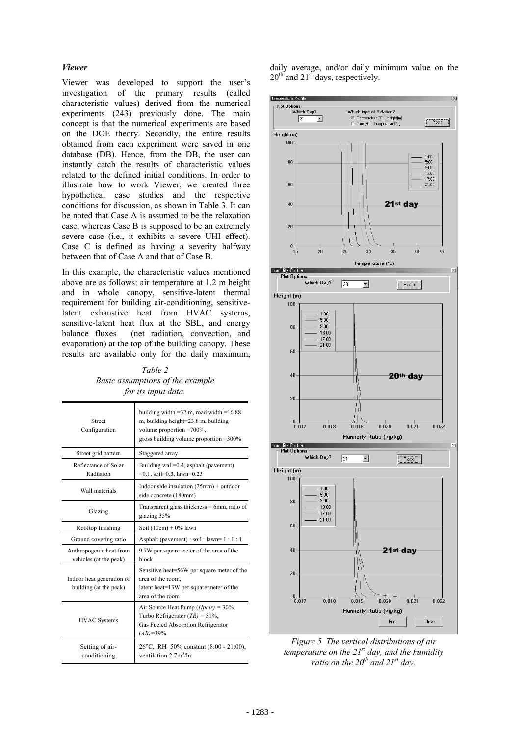#### *Viewer*

Viewer was developed to support the user's investigation of the primary results (called characteristic values) derived from the numerical experiments (243) previously done. The main concept is that the numerical experiments are based on the DOE theory. Secondly, the entire results obtained from each experiment were saved in one database (DB). Hence, from the DB, the user can instantly catch the results of characteristic values related to the defined initial conditions. In order to illustrate how to work Viewer, we created three hypothetical case studies and the respective conditions for discussion, as shown in Table 3. It can be noted that Case A is assumed to be the relaxation case, whereas Case B is supposed to be an extremely severe case (i.e., it exhibits a severe UHI effect). Case C is defined as having a severity halfway between that of Case A and that of Case B.

In this example, the characteristic values mentioned above are as follows: air temperature at 1.2 m height and in whole canopy, sensitive-latent thermal requirement for building air-conditioning, sensitivelatent exhaustive heat from HVAC systems, sensitive-latent heat flux at the SBL, and energy balance fluxes (net radiation, convection, and evaporation) at the top of the building canopy. These results are available only for the daily maximum,

*Table 2 Basic assumptions of the example for its input data.* 

| <b>Street</b><br>Configuration                      | building width = $32$ m, road width = $16.88$<br>m, building height=23.8 m, building<br>volume proportion $=700\%$ ,<br>gross building volume proportion $=300\%$ |  |  |
|-----------------------------------------------------|-------------------------------------------------------------------------------------------------------------------------------------------------------------------|--|--|
| Street grid pattern                                 | Staggered array                                                                                                                                                   |  |  |
| Reflectance of Solar<br>Radiation                   | Building wall=0.4, asphalt (pavement)<br>$=0.1$ , soil=0.3, lawn=0.25                                                                                             |  |  |
| Wall materials                                      | Indoor side insulation $(25mm)$ + outdoor<br>side concrete (180mm)                                                                                                |  |  |
| Glazing                                             | Transparent glass thickness $= 6$ mm, ratio of<br>glazing 35%                                                                                                     |  |  |
| Rooftop finishing                                   | Soil $(10cm) + 0\%$ lawn                                                                                                                                          |  |  |
| Ground covering ratio                               | Asphalt (pavement) : soil : lawn= $1:1:1$                                                                                                                         |  |  |
| Anthropogenic heat from<br>vehicles (at the peak)   | 9.7W per square meter of the area of the<br>block                                                                                                                 |  |  |
| Indoor heat generation of<br>building (at the peak) | Sensitive heat=56W per square meter of the<br>area of the room,<br>latent heat=13W per square meter of the<br>area of the room                                    |  |  |
| <b>HVAC</b> Systems                                 | Air Source Heat Pump ( <i>Hpair</i> ) = $30\%$ ,<br>Turbo Refrigerator $(TR) = 31\%$ ,<br>Gas Fueled Absorption Refrigerator<br>$(AR) = 39\%$                     |  |  |
| Setting of air-<br>conditioning                     | 26°C, RH=50% constant (8:00 - 21:00),<br>ventilation $2.7m3/hr$                                                                                                   |  |  |

daily average, and/or daily minimum value on the  $20<sup>th</sup>$  and  $21<sup>st</sup>$  days, respectively.



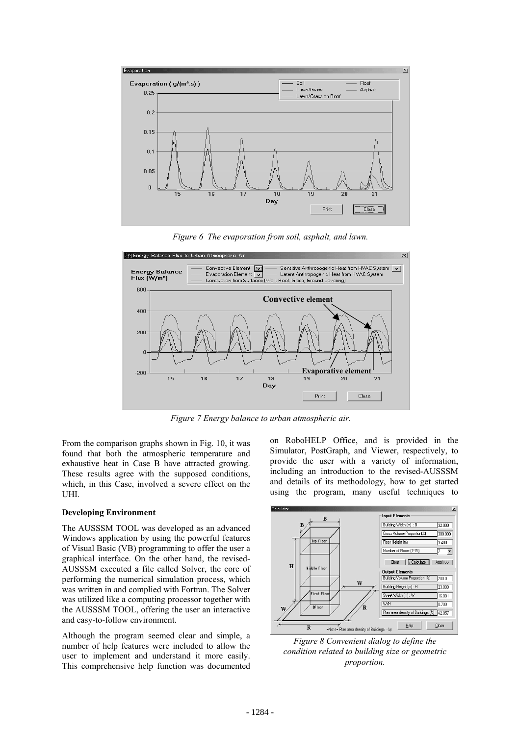

*Figure 6 The evaporation from soil, asphalt, and lawn.* 



*Figure 7 Energy balance to urban atmospheric air.* 

From the comparison graphs shown in Fig. 10, it was found that both the atmospheric temperature and exhaustive heat in Case B have attracted growing. These results agree with the supposed conditions, which, in this Case, involved a severe effect on the UHI.

#### **Developing Environment**

The AUSSSM TOOL was developed as an advanced Windows application by using the powerful features of Visual Basic (VB) programming to offer the user a graphical interface. On the other hand, the revised-AUSSSM executed a file called Solver, the core of performing the numerical simulation process, which was written in and complied with Fortran. The Solver was utilized like a computing processor together with the AUSSSM TOOL, offering the user an interactive and easy-to-follow environment.

Although the program seemed clear and simple, a number of help features were included to allow the user to implement and understand it more easily. This comprehensive help function was documented

on RoboHELP Office, and is provided in the Simulator, PostGraph, and Viewer, respectively, to provide the user with a variety of information, including an introduction to the revised-AUSSSM and details of its methodology, how to get started using the program, many useful techniques to



*Figure 8 Convenient dialog to define the condition related to building size or geometric proportion.*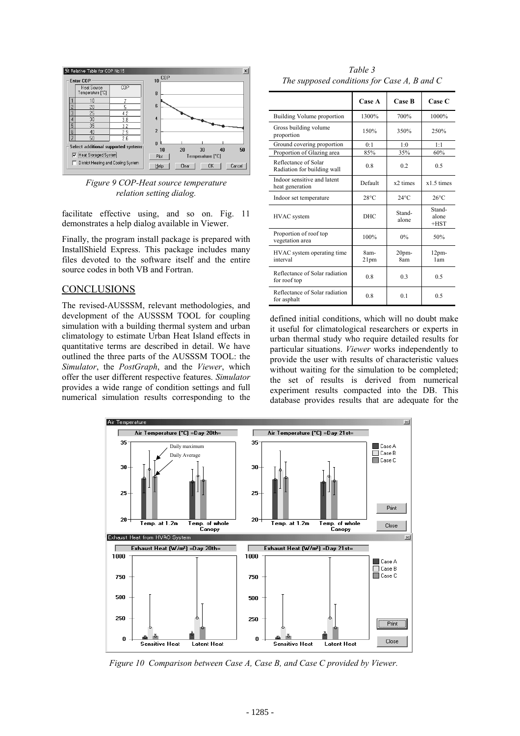

*Figure 9 COP-Heat source temperature relation setting dialog.* 

facilitate effective using, and so on. Fig. 11 demonstrates a help dialog available in Viewer.

Finally, the program install package is prepared with InstallShield Express. This package includes many files devoted to the software itself and the entire source codes in both VB and Fortran.

### **CONCLUSIONS**

The revised-AUSSSM, relevant methodologies, and development of the AUSSSM TOOL for coupling simulation with a building thermal system and urban climatology to estimate Urban Heat Island effects in quantitative terms are described in detail. We have outlined the three parts of the AUSSSM TOOL: the *Simulator*, the *PostGraph*, and the *Viewer*, which offer the user different respective features. *Simulator* provides a wide range of condition settings and full numerical simulation results corresponding to the

*Table 3 The supposed conditions for Case A, B and C* 

|                                                     | Case A                   | <b>Case B</b>           | <b>Case C</b>             |
|-----------------------------------------------------|--------------------------|-------------------------|---------------------------|
| Building Volume proportion                          | 1300%                    | 700%                    | 1000%                     |
| Gross building volume<br>proportion                 | 150%                     | 350%                    | 250%                      |
| Ground covering proportion                          | 0:1                      | 1:0                     | 1:1                       |
| Proportion of Glazing area                          | 85%                      | 35%                     | 60%                       |
| Reflectance of Solar<br>Radiation for building wall | 0.8                      | 0.2                     | 0.5                       |
| Indoor sensitive and latent<br>heat generation      | Default                  | x2 times                | $x1.5$ times              |
| Indoor set temperature                              | $28^{\circ}$ C           | $24^{\circ}$ C          | $26^{\circ}$ C            |
| <b>HVAC</b> system                                  | <b>DHC</b>               | Stand-<br>alone         | Stand-<br>alone<br>$+HST$ |
| Proportion of roof top<br>vegetation area           | 100%                     | 0%                      | 50%                       |
| HVAC system operating time<br>interval              | 8am-<br>21 <sub>pm</sub> | 20 <sub>pm</sub><br>8am | 12 <sub>pm</sub><br>1am   |
| Reflectance of Solar radiation<br>for roof top      | 0.8                      | 0 <sub>3</sub>          | 0.5                       |
| Reflectance of Solar radiation<br>for asphalt       | 0.8                      | 0.1                     | 0.5                       |

defined initial conditions, which will no doubt make it useful for climatological researchers or experts in urban thermal study who require detailed results for particular situations. *Viewer* works independently to provide the user with results of characteristic values without waiting for the simulation to be completed; the set of results is derived from numerical experiment results compacted into the DB. This database provides results that are adequate for the



*Figure 10 Comparison between Case A, Case B, and Case C provided by Viewer.*